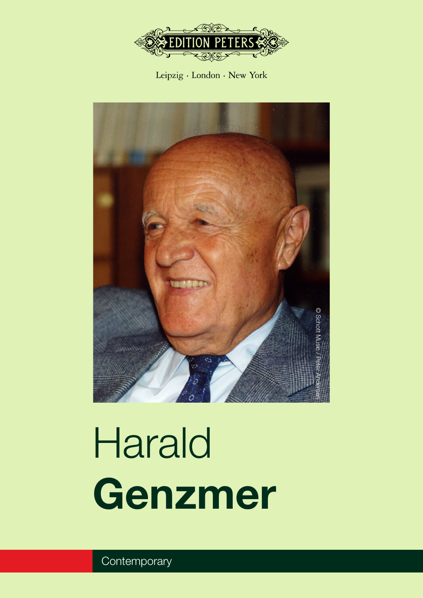

Leipzig · London · New York



# Harald **Genzmer**

**Contemporary**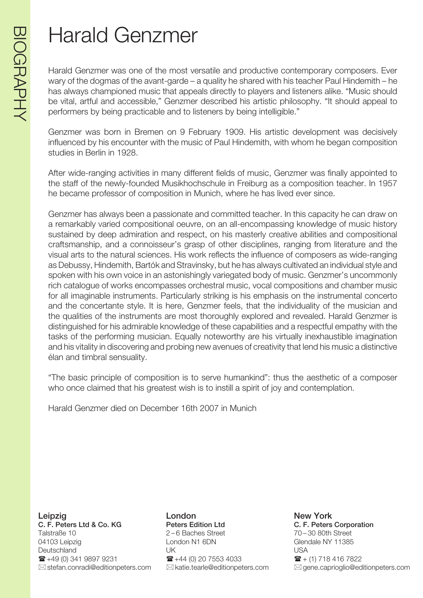# Harald Genzmer

Harald Genzmer was one of the most versatile and productive contemporary composers. Ever wary of the dogmas of the avant-garde – a quality he shared with his teacher Paul Hindemith – he has always championed music that appeals directly to players and listeners alike. "Music should be vital, artful and accessible," Genzmer described his artistic philosophy. "It should appeal to performers by being practicable and to listeners by being intelligible."

Genzmer was born in Bremen on 9 February 1909. His artistic development was decisively influenced by his encounter with the music of Paul Hindemith, with whom he began composition studies in Berlin in 1928.

After wide-ranging activities in many different fields of music, Genzmer was finally appointed to the staff of the newly-founded Musikhochschule in Freiburg as a composition teacher. In 1957 he became professor of composition in Munich, where he has lived ever since.

Genzmer has always been a passionate and committed teacher. In this capacity he can draw on a remarkably varied compositional oeuvre, on an all-encompassing knowledge of music history sustained by deep admiration and respect, on his masterly creative abilities and compositional craftsmanship, and a connoisseur's grasp of other disciplines, ranging from literature and the visual arts to the natural sciences. His work reflects the influence of composers as wide-ranging as Debussy, Hindemith, Bartók and Stravinsky, but he has always cultivated an individual style and spoken with his own voice in an astonishingly variegated body of music. Genzmer's uncommonly rich catalogue of works encompasses orchestral music, vocal compositions and chamber music for all imaginable instruments. Particularly striking is his emphasis on the instrumental concerto and the concertante style. It is here, Genzmer feels, that the individuality of the musician and the qualities of the instruments are most thoroughly explored and revealed. Harald Genzmer is distinguished for his admirable knowledge of these capabilities and a respectful empathy with the tasks of the performing musician. Equally noteworthy are his virtually inexhaustible imagination and his vitality in discovering and probing new avenues of creativity that lend his music a distinctive élan and timbral sensuality.

"The basic principle of composition is to serve humankind": thus the aesthetic of a composer who once claimed that his greatest wish is to instill a spirit of joy and contemplation.

Harald Genzmer died on December 16th 2007 in Munich

Leipzig **Communist Communist London** Communist Communist New York C. F. Peters Ltd & Co. KG Peters Edition Ltd C. F. Peters Corporation Talstraße 10 2 – 6 Baches Street 70 – 30 80th Street 04103 Leipzig Contact Condon N1 6DN Glendale NY 11385 Deutschland UK USA  $\mathbf{F}$  +49 (0) 341 9897 9231  $\mathbf{F}$  +44 (0) 20 7553 4033  $\mathbf{F}$  + (1) 718 416 7822

 $\boxtimes$ stefan.conradi@editionpeters.com  $\boxtimes$  katie.tearle@editionpeters.com  $\boxtimes$  gene.caprioglio@editionpeters.com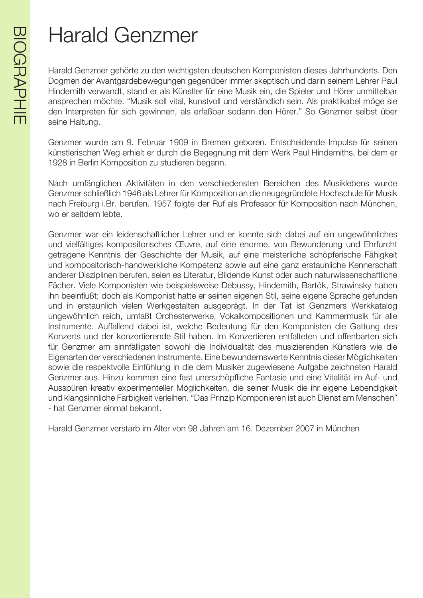# **BIOGRAPHIE** BIOGRAPHIE

# Harald Genzmer

Harald Genzmer gehörte zu den wichtigsten deutschen Komponisten dieses Jahrhunderts. Den Dogmen der Avantgardebewegungen gegenüber immer skeptisch und darin seinem Lehrer Paul Hindemith verwandt, stand er als Künstler für eine Musik ein, die Spieler und Hörer unmittelbar ansprechen möchte. "Musik soll vital, kunstvoll und verständlich sein. Als praktikabel möge sie den Interpreten für sich gewinnen, als erfaßbar sodann den Hörer." So Genzmer selbst über seine Haltung.

Genzmer wurde am 9. Februar 1909 in Bremen geboren. Entscheidende Impulse für seinen künstlerischen Weg erhielt er durch die Begegnung mit dem Werk Paul Hindemiths, bei dem er 1928 in Berlin Komposition zu studieren begann.

Nach umfänglichen Aktivitäten in den verschiedensten Bereichen des Musiklebens wurde Genzmer schließlich 1946 als Lehrer für Komposition an die neugegründete Hochschule für Musik nach Freiburg i.Br. berufen. 1957 folgte der Ruf als Professor für Komposition nach München, wo er seitdem lebte.

Genzmer war ein leidenschaftlicher Lehrer und er konnte sich dabei auf ein ungewöhnliches und vielfältiges kompositorisches Œuvre, auf eine enorme, von Bewunderung und Ehrfurcht getragene Kenntnis der Geschichte der Musik, auf eine meisterliche schöpferische Fähigkeit und kompositorisch-handwerkliche Kompetenz sowie auf eine ganz erstaunliche Kennerschaft anderer Disziplinen berufen, seien es Literatur, Bildende Kunst oder auch naturwissenschaftliche Fächer. Viele Komponisten wie beispielsweise Debussy, Hindemith, Bartók, Strawinsky haben ihn beeinflußt; doch als Komponist hatte er seinen eigenen Stil, seine eigene Sprache gefunden und in erstaunlich vielen Werkgestalten ausgeprägt. In der Tat ist Genzmers Werkkatalog ungewöhnlich reich, umfaßt Orchesterwerke, Vokalkompositionen und Kammermusik für alle Instrumente. Auffallend dabei ist, welche Bedeutung für den Komponisten die Gattung des Konzerts und der konzertierende Stil haben. Im Konzertieren entfalteten und offenbarten sich für Genzmer am sinnfälligsten sowohl die Individualität des musizierenden Künstlers wie die Eigenarten der verschiedenen Instrumente. Eine bewundernswerte Kenntnis dieser Möglichkeiten sowie die respektvolle Einfühlung in die dem Musiker zugewiesene Aufgabe zeichneten Harald Genzmer aus. Hinzu kommen eine fast unerschöpfliche Fantasie und eine Vitalität im Auf- und Ausspüren kreativ experimenteller Möglichkeiten, die seiner Musik die ihr eigene Lebendigkeit und klangsinnliche Farbigkeit verleihen. "Das Prinzip Komponieren ist auch Dienst am Menschen" - hat Genzmer einmal bekannt.

Harald Genzmer verstarb im Alter von 98 Jahren am 16. Dezember 2007 in München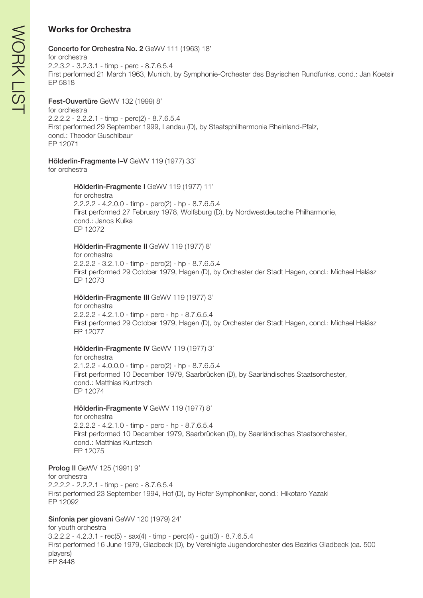# **Works for Orchestra**

#### Concerto for Orchestra No. 2 GeWV 111 (1963) 18' for orchestra 2.2.3.2 - 3.2.3.1 - timp - perc - 8.7.6.5.4 First performed 21 March 1963, Munich, by Symphonie-Orchester des Bayrischen Rundfunks, cond.: Jan Koetsir EP 5818

# Fest-Ouvertüre GeWV 132 (1999) 8'

for orchestra 2.2.2.2 - 2.2.2.1 - timp - perc(2) - 8.7.6.5.4 First performed 29 September 1999, Landau (D), by Staatsphilharmonie Rheinland-Pfalz, cond.: Theodor Guschlbaur EP 12071

# Hölderlin-Fragmente I–V GeWV 119 (1977) 33'

for orchestra

# Hölderlin-Fragmente I GeWV 119 (1977) 11'

for orchestra 2.2.2.2 - 4.2.0.0 - timp - perc(2) - hp - 8.7.6.5.4 First performed 27 February 1978, Wolfsburg (D), by Nordwestdeutsche Philharmonie, cond.: Janos Kulka EP 12072

# Hölderlin-Fragmente II GeWV 119 (1977) 8'

for orchestra 2.2.2.2 - 3.2.1.0 - timp - perc(2) - hp - 8.7.6.5.4 First performed 29 October 1979, Hagen (D), by Orchester der Stadt Hagen, cond.: Michael Halász EP 12073

# Hölderlin-Fragmente III GeWV 119 (1977) 3'

for orchestra 2.2.2.2 - 4.2.1.0 - timp - perc - hp - 8.7.6.5.4 First performed 29 October 1979, Hagen (D), by Orchester der Stadt Hagen, cond.: Michael Halász EP 12077

# Hölderlin-Fragmente IV GeWV 119 (1977) 3'

for orchestra 2.1.2.2 - 4.0.0.0 - timp - perc(2) - hp - 8.7.6.5.4 First performed 10 December 1979, Saarbrücken (D), by Saarländisches Staatsorchester, cond.: Matthias Kuntzsch EP 12074

# Hölderlin-Fragmente V GeWV 119 (1977) 8'

for orchestra 2.2.2.2 - 4.2.1.0 - timp - perc - hp - 8.7.6.5.4 First performed 10 December 1979, Saarbrücken (D), by Saarländisches Staatsorchester, cond.: Matthias Kuntzsch EP 12075

Prolog II GeWV 125 (1991) 9' for orchestra 2.2.2.2 - 2.2.2.1 - timp - perc - 8.7.6.5.4 First performed 23 September 1994, Hof (D), by Hofer Symphoniker, cond.: Hikotaro Yazaki EP 12092

# Sinfonia per giovani GeWV 120 (1979) 24'

for youth orchestra 3.2.2.2 - 4.2.3.1 - rec(5) - sax(4) - timp - perc(4) - guit(3) - 8.7.6.5.4 First performed 16 June 1979, Gladbeck (D), by Vereinigte Jugendorchester des Bezirks Gladbeck (ca. 500 players) EP 8448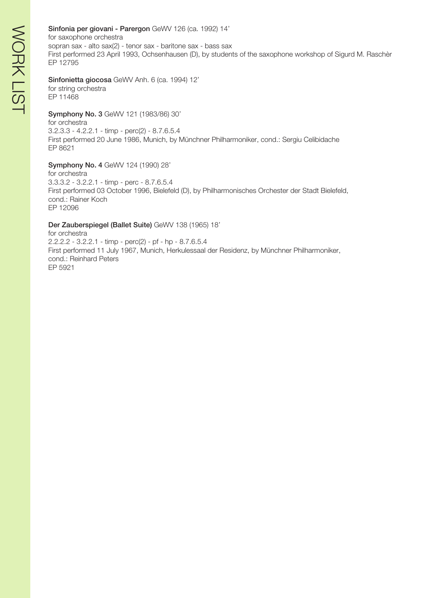# Sinfonia per giovani - Parergon GeWV 126 (ca. 1992) 14'

for saxophone orchestra sopran sax - alto sax(2) - tenor sax - baritone sax - bass sax First performed 23 April 1993, Ochsenhausen (D), by students of the saxophone workshop of Sigurd M. Raschèr EP 12795

#### Sinfonietta giocosa GeWV Anh. 6 (ca. 1994) 12' for string orchestra

EP 11468

# Symphony No. 3 GeWV 121 (1983/86) 30'

for orchestra 3.2.3.3 - 4.2.2.1 - timp - perc(2) - 8.7.6.5.4 First performed 20 June 1986, Munich, by Münchner Philharmoniker, cond.: Sergiu Celibidache EP 8621

#### Symphony No. 4 GeWV 124 (1990) 28'

for orchestra 3.3.3.2 - 3.2.2.1 - timp - perc - 8.7.6.5.4 First performed 03 October 1996, Bielefeld (D), by Philharmonisches Orchester der Stadt Bielefeld, cond.: Rainer Koch EP 12096

#### Der Zauberspiegel (Ballet Suite) GeWV 138 (1965) 18'

for orchestra 2.2.2.2 - 3.2.2.1 - timp - perc(2) - pf - hp - 8.7.6.5.4 First performed 11 July 1967, Munich, Herkulessaal der Residenz, by Münchner Philharmoniker, cond.: Reinhard Peters EP 5921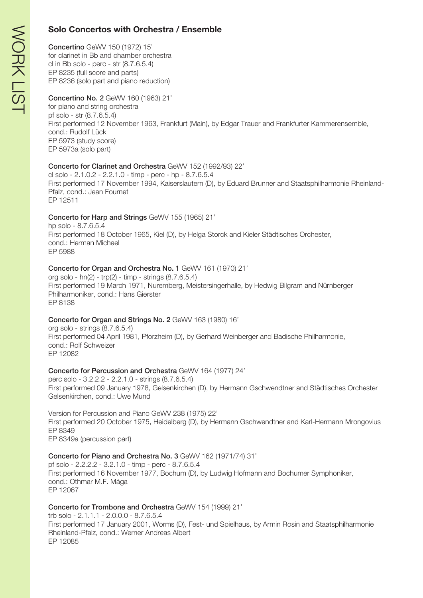# **Solo Concertos with Orchestra / Ensemble**

# Concertino GeWV 150 (1972) 15'

for clarinet in Bb and chamber orchestra cl in Bb solo - perc - str (8.7.6.5.4) EP 8235 (full score and parts) EP 8236 (solo part and piano reduction)

#### Concertino No. 2 GeWV 160 (1963) 21' for piano and string orchestra

pf solo - str (8.7.6.5.4) First performed 12 November 1963, Frankfurt (Main), by Edgar Trauer and Frankfurter Kammerensemble, cond.: Rudolf Lück EP 5973 (study score) EP 5973a (solo part)

#### Concerto for Clarinet and Orchestra GeWV 152 (1992/93) 22'

cl solo - 2.1.0.2 - 2.2.1.0 - timp - perc - hp - 8.7.6.5.4 First performed 17 November 1994, Kaiserslautern (D), by Eduard Brunner and Staatsphilharmonie Rheinland-Pfalz, cond.: Jean Fournet EP 12511

# Concerto for Harp and Strings GeWV 155 (1965) 21'

hp solo - 8.7.6.5.4 First performed 18 October 1965, Kiel (D), by Helga Storck and Kieler Städtisches Orchester, cond.: Herman Michael EP 5988

#### Concerto for Organ and Orchestra No. 1 GeWV 161 (1970) 21'

org solo - hn(2) - trp(2) - timp - strings (8.7.6.5.4) First performed 19 March 1971, Nuremberg, Meistersingerhalle, by Hedwig Bilgram and Nürnberger Philharmoniker, cond.: Hans Gierster EP 8138

# Concerto for Organ and Strings No. 2 GeWV 163 (1980) 16'

org solo - strings (8.7.6.5.4) First performed 04 April 1981, Pforzheim (D), by Gerhard Weinberger and Badische Philharmonie, cond.: Rolf Schweizer EP 12082

# Concerto for Percussion and Orchestra GeWV 164 (1977) 24'

perc solo - 3.2.2.2 - 2.2.1.0 - strings (8.7.6.5.4) First performed 09 January 1978, Gelsenkirchen (D), by Hermann Gschwendtner and Städtisches Orchester Gelsenkirchen, cond.: Uwe Mund

Version for Percussion and Piano GeWV 238 (1975) 22' First performed 20 October 1975, Heidelberg (D), by Hermann Gschwendtner and Karl-Hermann Mrongovius EP 8349 EP 8349a (percussion part)

# Concerto for Piano and Orchestra No. 3 GeWV 162 (1971/74) 31'

pf solo - 2.2.2.2 - 3.2.1.0 - timp - perc - 8.7.6.5.4 First performed 16 November 1977, Bochum (D), by Ludwig Hofmann and Bochumer Symphoniker, cond.: Othmar M.F. Mága EP 12067

#### Concerto for Trombone and Orchestra GeWV 154 (1999) 21'

trb solo - 2.1.1.1 - 2.0.0.0 - 8.7.6.5.4 First performed 17 January 2001, Worms (D), Fest- und Spielhaus, by Armin Rosin and Staatsphilharmonie Rheinland-Pfalz, cond.: Werner Andreas Albert EP 12085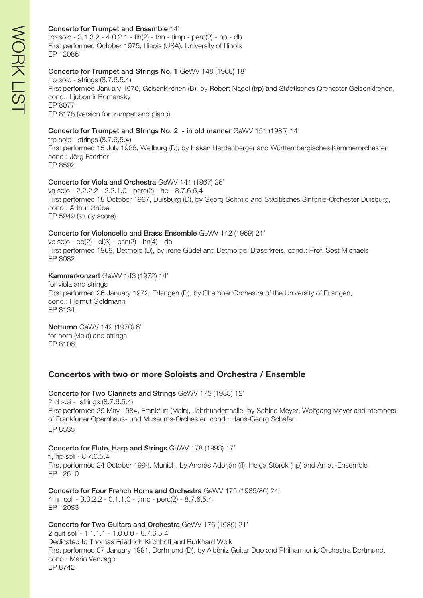#### Concerto for Trumpet and Ensemble 14'

trp solo  $-3.1.3.2 - 4.0.2.1 - fh(2) - thn - timp - perc(2) - hp - db$ First performed October 1975, Illinois (USA), University of Illinois EP 12086

#### Concerto for Trumpet and Strings No. 1 GeWV 148 (1968) 18'

trp solo - strings (8.7.6.5.4) First performed January 1970, Gelsenkirchen (D), by Robert Nagel (trp) and Städtisches Orchester Gelsenkirchen, cond.: Ljubomir Romansky EP 8077 EP 8178 (version for trumpet and piano)

#### Concerto for Trumpet and Strings No. 2 - in old manner GeWV 151 (1985) 14'

trp solo - strings (8.7.6.5.4) First performed 15 July 1988, Weilburg (D), by Hakan Hardenberger and Württembergisches Kammerorchester, cond.: Jörg Faerber EP 8592

#### Concerto for Viola and Orchestra GeWV 141 (1967) 26'

va solo - 2.2.2.2 - 2.2.1.0 - perc(2) - hp - 8.7.6.5.4 First performed 18 October 1967, Duisburg (D), by Georg Schmid and Städtisches Sinfonie-Orchester Duisburg, cond.: Arthur Grüber EP 5949 (study score)

#### Concerto for Violoncello and Brass Ensemble GeWV 142 (1969) 21'

vc solo - ob(2) - cl(3) - bsn(2) - hn(4) - db First performed 1969, Detmold (D), by Irene Güdel and Detmolder Bläserkreis, cond.: Prof. Sost Michaels EP 8082

#### Kammerkonzert GeWV 143 (1972) 14'

for viola and strings First performed 26 January 1972, Erlangen (D), by Chamber Orchestra of the University of Erlangen, cond.: Helmut Goldmann EP 8134

#### Notturno GeWV 149 (1970) 6' for horn (viola) and strings EP 8106

# **Concertos with two or more Soloists and Orchestra / Ensemble**

#### Concerto for Two Clarinets and Strings GeWV 173 (1983) 12' 2 cl soli - strings (8.7.6.5.4) First performed 29 May 1984, Frankfurt (Main), Jahrhunderthalle, by Sabine Meyer, Wolfgang Meyer and members of Frankfurter Opernhaus- und Museums-Orchester, cond.: Hans-Georg Schäfer EP 8535

#### Concerto for Flute, Harp and Strings GeWV 178 (1993) 17'

fl, hp soli - 8.7.6.5.4 First performed 24 October 1994, Munich, by András Adorján (fl), Helga Storck (hp) and Amati-Ensemble EP 12510

Concerto for Four French Horns and Orchestra GeWV 175 (1985/86) 24' 4 hn soli - 3.3.2.2 - 0.1.1.0 - timp - perc(2) - 8.7.6.5.4 EP 12083

#### Concerto for Two Guitars and Orchestra GeWV 176 (1989) 21'

2 guit soli - 1.1.1.1 - 1.0.0.0 - 8.7.6.5.4 Dedicated to Thomas Friedrich Kirchhoff and Burkhard Wolk First performed 07 January 1991, Dortmund (D), by Albéniz Guitar Duo and Philharmonic Orchestra Dortmund, cond.: Mario Venzago EP 8742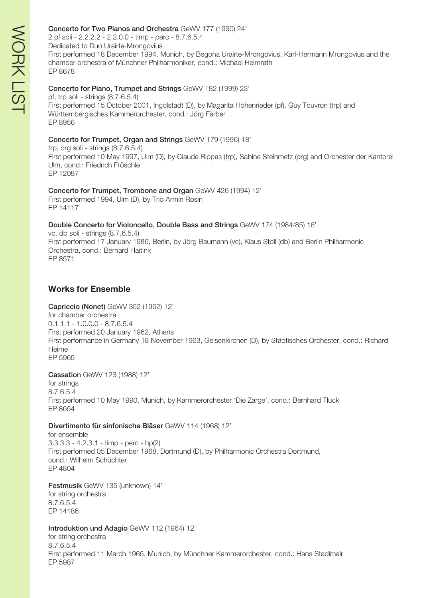#### Concerto for Two Pianos and Orchestra GeWV 177 (1990) 24'

2 pf soli - 2.2.2.2 - 2.2.0.0 - timp - perc - 8.7.6.5.4 Dedicated to Duo Urairte-Mrongovius First performed 18 December 1994, Munich, by Begoña Urairte-Mrongovius, Karl-Hermann Mrongovius and the chamber orchestra of Münchner Philharmoniker, cond.: Michael Helmrath EP 8678

#### Concerto for Piano, Trumpet and Strings GeWV 182 (1999) 23'

pf, trp soli - strings (8.7.6.5.4) First performed 15 October 2001, Ingolstadt (D), by Magarita Höhenrieder (pf), Guy Touvron (trp) and Württembergisches Kammerorchester, cond.: Jörg Färber EP 8956

#### Concerto for Trumpet, Organ and Strings GeWV 179 (1996) 18'

trp, org soli - strings (8.7.6.5.4) First performed 10 May 1997, Ulm (D), by Claude Rippas (trp), Sabine Steinmetz (org) and Orchester der Kantorei Ulm, cond.: Friedrich Fröschle EP 12087

#### Concerto for Trumpet, Trombone and Organ GeWV 426 (1994) 12'

First performed 1994, Ulm (D), by Trio Armin Rosin EP 14117

#### Double Concerto for Violoncello, Double Bass and Strings GeWV 174 (1984/85) 16'

vc, db soli - strings (8.7.6.5.4) First performed 17 January 1986, Berlin, by Jörg Baumann (vc), Klaus Stoll (db) and Berlin Philharmonic Orchestra, cond.: Bernard Haitink EP 8571

# **Works for Ensemble**

#### Capriccio (Nonet) GeWV 352 (1962) 12'

for chamber orchestra 0.1.1.1 - 1.0.0.0 - 8.7.6.5.4 First performed 20 January 1962, Athens First performance in Germany 18 November 1963, Gelsenkirchen (D), by Städtisches Orchester, cond.: Richard Heime EP 5965

#### Cassation GeWV 123 (1988) 12'

for strings 8.7.6.5.4 First performed 10 May 1990, Munich, by Kammerorchester 'Die Zarge', cond.: Bernhard Tluck EP 8654

#### Divertimento für sinfonische Bläser GeWV 114 (1968) 12'

for ensemble 3.3.3.3 - 4.2.3.1 - timp - perc - hp(2) First performed 05 December 1968, Dortmund (D), by Philharmonic Orchestra Dortmund, cond.: Wilhelm Schüchter EP 4804

Festmusik GeWV 135 (unknown) 14' for string orchestra 8.7.6.5.4 EP 14186

#### Introduktion und Adagio GeWV 112 (1964) 12'

for string orchestra 8.7.6.5.4 First performed 11 March 1965, Munich, by Münchner Kammerorchester, cond.: Hans Stadlmair EP 5987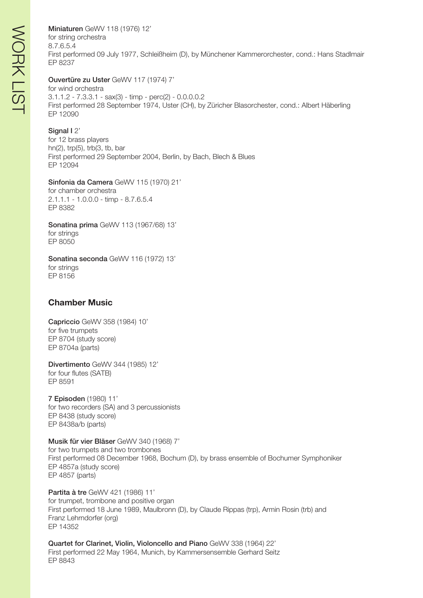Miniaturen GeWV 118 (1976) 12' for string orchestra 8.7.6.5.4 First performed 09 July 1977, Schleißheim (D), by Münchener Kammerorchester, cond.: Hans Stadlmair EP 8237

Ouvertüre zu Uster GeWV 117 (1974) 7'

for wind orchestra 3.1.1.2 - 7.3.3.1 - sax(3) - timp - perc(2) - 0.0.0.0.2 First performed 28 September 1974, Uster (CH), by Züricher Blasorchester, cond.: Albert Häberling EP 12090

#### Signal 12'

for 12 brass players hn(2), trp(5), trb(3, tb, bar First performed 29 September 2004, Berlin, by Bach, Blech & Blues EP 12094

Sinfonia da Camera GeWV 115 (1970) 21' for chamber orchestra 2.1.1.1 - 1.0.0.0 - timp - 8.7.6.5.4 EP 8382

Sonatina prima GeWV 113 (1967/68) 13' for strings EP 8050

Sonatina seconda GeWV 116 (1972) 13' for strings EP 8156

# **Chamber Music**

Capriccio GeWV 358 (1984) 10' for five trumpets EP 8704 (study score) EP 8704a (parts)

Divertimento GeWV 344 (1985) 12' for four flutes (SATB) EP 8591

7 Episoden (1980) 11' for two recorders (SA) and 3 percussionists EP 8438 (study score) EP 8438a/b (parts)

Musik für vier Bläser GeWV 340 (1968) 7' for two trumpets and two trombones First performed 08 December 1968, Bochum (D), by brass ensemble of Bochumer Symphoniker EP 4857a (study score) EP 4857 (parts)

Partita à tre GeWV 421 (1986) 11' for trumpet, trombone and positive organ First performed 18 June 1989, Maulbronn (D), by Claude Rippas (trp), Armin Rosin (trb) and Franz Lehrndorfer (org) EP 14352

Quartet for Clarinet, Violin, Violoncello and Piano GeWV 338 (1964) 22' First performed 22 May 1964, Munich, by Kammersensemble Gerhard Seitz EP 8843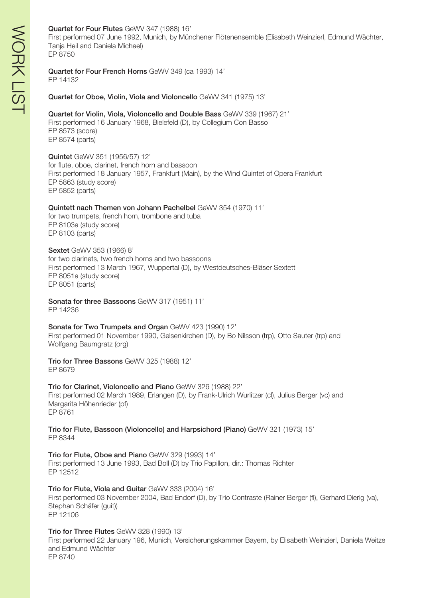#### Quartet for Four Flutes GeWV 347 (1988) 16'

First performed 07 June 1992, Munich, by Münchener Flötenensemble (Elisabeth Weinzierl, Edmund Wächter, Tanja Heil and Daniela Michael) EP 8750

#### Quartet for Four French Horns GeWV 349 (ca 1993) 14' EP 14132

Quartet for Oboe, Violin, Viola and Violoncello GeWV 341 (1975) 13'

#### Quartet for Violin, Viola, Violoncello and Double Bass GeWV 339 (1967) 21'

First performed 16 January 1968, Bielefeld (D), by Collegium Con Basso EP 8573 (score) EP 8574 (parts)

Quintet GeWV 351 (1956/57) 12'

for flute, oboe, clarinet, french horn and bassoon First performed 18 January 1957, Frankfurt (Main), by the Wind Quintet of Opera Frankfurt EP 5863 (study score) EP 5852 (parts)

Quintett nach Themen von Johann Pachelbel GeWV 354 (1970) 11'

for two trumpets, french horn, trombone and tuba EP 8103a (study score) EP 8103 (parts)

Sextet GeWV 353 (1966) 8' for two clarinets, two french horns and two bassoons First performed 13 March 1967, Wuppertal (D), by Westdeutsches-Bläser Sextett EP 8051a (study score) EP 8051 (parts)

Sonata for three Bassoons GeWV 317 (1951) 11' EP 14236

Sonata for Two Trumpets and Organ GeWV 423 (1990) 12' First performed 01 November 1990, Gelsenkirchen (D), by Bo Nilsson (trp), Otto Sauter (trp) and Wolfgang Baumgratz (org)

Trio for Three Bassons GeWV 325 (1988) 12' EP 8679

Trio for Clarinet, Violoncello and Piano GeWV 326 (1988) 22' First performed 02 March 1989, Erlangen (D), by Frank-Ulrich Wurlitzer (cl), Julius Berger (vc) and Margarita Höhenrieder (pf) EP 8761

Trio for Flute, Bassoon (Violoncello) and Harpsichord (Piano) GeWV 321 (1973) 15' EP 8344

Trio for Flute, Oboe and Piano GeWV 329 (1993) 14' First performed 13 June 1993, Bad Boll (D) by Trio Papillon, dir.: Thomas Richter EP 12512

Trio for Flute, Viola and Guitar GeWV 333 (2004) 16' First performed 03 November 2004, Bad Endorf (D), by Trio Contraste (Rainer Berger (fl), Gerhard Dierig (va), Stephan Schäfer (guit)) EP 12106

Trio for Three Flutes GeWV 328 (1990) 13'

First performed 22 January 196, Munich, Versicherungskammer Bayern, by Elisabeth Weinzierl, Daniela Weitze and Edmund Wächter EP 8740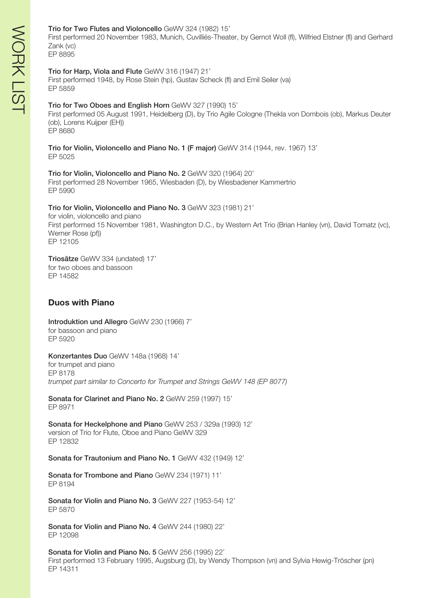#### Trio for Two Flutes and Violoncello GeWV 324 (1982) 15'

First performed 20 November 1983, Munich, Cuvilliés-Theater, by Gernot Woll (fl), Wilfried Elstner (fl) and Gerhard Zank (vc)

EP 8895

#### Trio for Harp, Viola and Flute GeWV 316 (1947) 21'

First performed 1948, by Rose Stein (hp), Gustav Scheck (fl) and Emil Seiler (va) EP 5859

#### Trio for Two Oboes and English Horn GeWV 327 (1990) 15'

First performed 05 August 1991, Heidelberg (D), by Trio Agile Cologne (Thekla von Dombois (ob), Markus Deuter (ob), Lorens Kuijper (EH)) EP 8680

Trio for Violin, Violoncello and Piano No. 1 (F major) GeWV 314 (1944, rev. 1967) 13' EP 5025

Trio for Violin, Violoncello and Piano No. 2 GeWV 320 (1964) 20' First performed 28 November 1965, Wiesbaden (D), by Wiesbadener Kammertrio EP 5990

#### Trio for Violin, Violoncello and Piano No. 3 GeWV 323 (1981) 21'

for violin, violoncello and piano First performed 15 November 1981, Washington D.C., by Western Art Trio (Brian Hanley (vn), David Tomatz (vc), Werner Rose (pf)) EP 12105

Triosätze GeWV 334 (undated) 17' for two oboes and bassoon EP 14582

# **Duos with Piano**

Introduktion und Allegro GeWV 230 (1966) 7' for bassoon and piano EP 5920

Konzertantes Duo GeWV 148a (1968) 14' for trumpet and piano EP 8178 *trumpet part similar to Concerto for Trumpet and Strings GeWV 148 (EP 8077)*

Sonata for Clarinet and Piano No. 2 GeWV 259 (1997) 15' EP 8971

Sonata for Heckelphone and Piano GeWV 253 / 329a (1993) 12' version of Trio for Flute, Oboe and Piano GeWV 329 EP 12832

Sonata for Trautonium and Piano No. 1 GeWV 432 (1949) 12'

Sonata for Trombone and Piano GeWV 234 (1971) 11' EP 8194

Sonata for Violin and Piano No. 3 GeWV 227 (1953-54) 12' EP 5870

Sonata for Violin and Piano No. 4 GeWV 244 (1980) 22' EP 12098

Sonata for Violin and Piano No. 5 GeWV 256 (1995) 22' First performed 13 February 1995, Augsburg (D), by Wendy Thompson (vn) and Sylvia Hewig-Tröscher (pn) EP 14311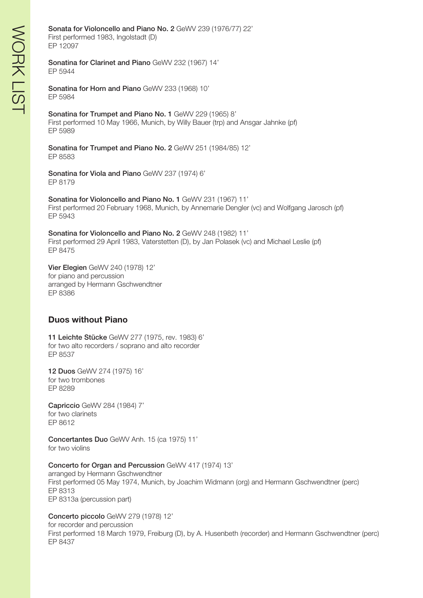Sonata for Violoncello and Piano No. 2 GeWV 239 (1976/77) 22' First performed 1983, Ingolstadt (D)

EP 12097

Sonatina for Clarinet and Piano GeWV 232 (1967) 14' EP 5944

Sonatina for Horn and Piano GeWV 233 (1968) 10' EP 5984

Sonatina for Trumpet and Piano No. 1 GeWV 229 (1965) 8' First performed 10 May 1966, Munich, by Willy Bauer (trp) and Ansgar Jahnke (pf) EP 5989

Sonatina for Trumpet and Piano No. 2 GeWV 251 (1984/85) 12' EP 8583

Sonatina for Viola and Piano GeWV 237 (1974) 6' EP 8179

Sonatina for Violoncello and Piano No. 1 GeWV 231 (1967) 11' First performed 20 February 1968, Munich, by Annemarie Dengler (vc) and Wolfgang Jarosch (pf) EP 5943

Sonatina for Violoncello and Piano No. 2 GeWV 248 (1982) 11' First performed 29 April 1983, Vaterstetten (D), by Jan Polasek (vc) and Michael Leslie (pf) EP 8475

Vier Elegien GeWV 240 (1978) 12' for piano and percussion arranged by Hermann Gschwendtner EP 8386

# **Duos without Piano**

11 Leichte Stücke GeWV 277 (1975, rev. 1983) 6' for two alto recorders / soprano and alto recorder EP 8537

12 Duos GeWV 274 (1975) 16' for two trombones EP 8289

Capriccio GeWV 284 (1984) 7' for two clarinets EP 8612

Concertantes Duo GeWV Anh. 15 (ca 1975) 11' for two violins

Concerto for Organ and Percussion GeWV 417 (1974) 13'

arranged by Hermann Gschwendtner First performed 05 May 1974, Munich, by Joachim Widmann (org) and Hermann Gschwendtner (perc) EP 8313 EP 8313a (percussion part)

Concerto piccolo GeWV 279 (1978) 12'

for recorder and percussion First performed 18 March 1979, Freiburg (D), by A. Husenbeth (recorder) and Hermann Gschwendtner (perc) EP 8437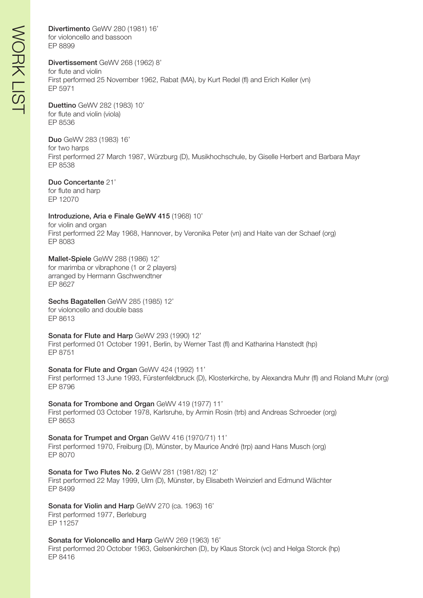Divertimento GeWV 280 (1981) 16' for violoncello and bassoon EP 8899

#### Divertissement GeWV 268 (1962) 8'

for flute and violin First performed 25 November 1962, Rabat (MA), by Kurt Redel (fl) and Erich Keller (vn) EP 5971

Duettino GeWV 282 (1983) 10' for flute and violin (viola) EP 8536

Duo GeWV 283 (1983) 16' for two harps First performed 27 March 1987, Würzburg (D), Musikhochschule, by Giselle Herbert and Barbara Mayr EP 8538

Duo Concertante 21' for flute and harp

EP 12070

Introduzione, Aria e Finale GeWV 415 (1968) 10' for violin and organ First performed 22 May 1968, Hannover, by Veronika Peter (vn) and Haite van der Schaef (org) EP 8083

Mallet-Spiele GeWV 288 (1986) 12' for marimba or vibraphone (1 or 2 players) arranged by Hermann Gschwendtner EP 8627

Sechs Bagatellen GeWV 285 (1985) 12' for violoncello and double bass EP 8613

Sonata for Flute and Harp GeWV 293 (1990) 12' First performed 01 October 1991, Berlin, by Werner Tast (fl) and Katharina Hanstedt (hp) EP 8751

Sonata for Flute and Organ GeWV 424 (1992) 11' First performed 13 June 1993, Fürstenfeldbruck (D), Klosterkirche, by Alexandra Muhr (fl) and Roland Muhr (org) EP 8796

Sonata for Trombone and Organ GeWV 419 (1977) 11' First performed 03 October 1978, Karlsruhe, by Armin Rosin (trb) and Andreas Schroeder (org) EP 8653

Sonata for Trumpet and Organ GeWV 416 (1970/71) 11' First performed 1970, Freiburg (D), Münster, by Maurice André (trp) aand Hans Musch (org) EP 8070

Sonata for Two Flutes No. 2 GeWV 281 (1981/82) 12' First performed 22 May 1999, Ulm (D), Münster, by Elisabeth Weinzierl and Edmund Wächter EP 8499

Sonata for Violin and Harp GeWV 270 (ca. 1963) 16' First performed 1977, Berleburg EP 11257

Sonata for Violoncello and Harp GeWV 269 (1963) 16' First performed 20 October 1963, Gelsenkirchen (D), by Klaus Storck (vc) and Helga Storck (hp) EP 8416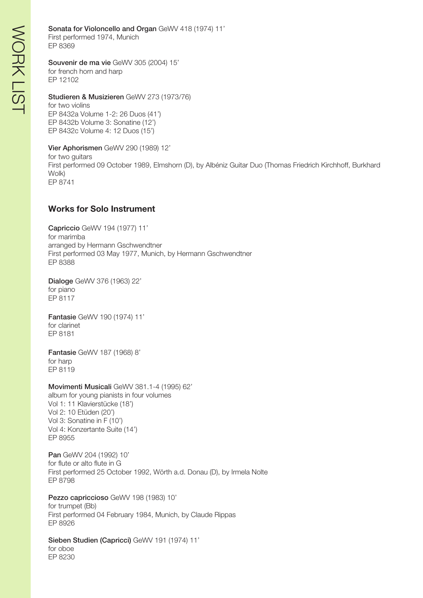# Sonata for Violoncello and Organ GeWV 418 (1974) 11'

First performed 1974, Munich EP 8369

#### Souvenir de ma vie GeWV 305 (2004) 15' for french horn and harp EP 12102

Studieren & Musizieren GeWV 273 (1973/76) for two violins EP 8432a Volume 1-2: 26 Duos (41') EP 8432b Volume 3: Sonatine (12') EP 8432c Volume 4: 12 Duos (15')

Vier Aphorismen GeWV 290 (1989) 12' for two guitars First performed 09 October 1989, Elmshorn (D), by Albéniz Guitar Duo (Thomas Friedrich Kirchhoff, Burkhard Wolk) EP 8741

# **Works for Solo Instrument**

Capriccio GeWV 194 (1977) 11' for marimba arranged by Hermann Gschwendtner First performed 03 May 1977, Munich, by Hermann Gschwendtner EP 8388

Dialoge GeWV 376 (1963) 22' for piano EP 8117

Fantasie GeWV 190 (1974) 11' for clarinet EP 8181

Fantasie GeWV 187 (1968) 8' for harp EP 8119

Movimenti Musicali GeWV 381.1-4 (1995) 62' album for young pianists in four volumes Vol 1: 11 Klavierstücke (18') Vol 2: 10 Etüden (20') Vol 3: Sonatine in F (10') Vol 4: Konzertante Suite (14') EP 8955

Pan GeWV 204 (1992) 10' for flute or alto flute in G First performed 25 October 1992, Wörth a.d. Donau (D), by Irmela Nolte EP 8798

Pezzo capriccioso GeWV 198 (1983) 10' for trumpet (Bb) First performed 04 February 1984, Munich, by Claude Rippas EP 8926

Sieben Studien (Capricci) GeWV 191 (1974) 11' for oboe

EP 8230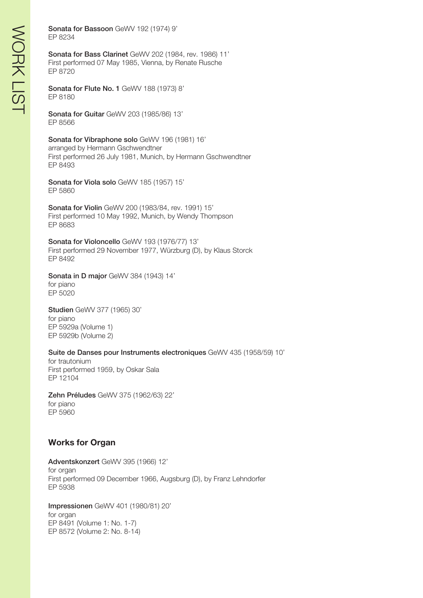Sonata for Bassoon GeWV 192 (1974) 9' EP 8234

Sonata for Bass Clarinet GeWV 202 (1984, rev. 1986) 11' First performed 07 May 1985, Vienna, by Renate Rusche EP 8720

Sonata for Flute No. 1 GeWV 188 (1973) 8' EP 8180

Sonata for Guitar GeWV 203 (1985/86) 13' EP 8566

Sonata for Vibraphone solo GeWV 196 (1981) 16' arranged by Hermann Gschwendtner First performed 26 July 1981, Munich, by Hermann Gschwendtner EP 8493

Sonata for Viola solo GeWV 185 (1957) 15' EP 5860

Sonata for Violin GeWV 200 (1983/84, rev. 1991) 15' First performed 10 May 1992, Munich, by Wendy Thompson EP 8683

Sonata for Violoncello GeWV 193 (1976/77) 13' First performed 29 November 1977, Würzburg (D), by Klaus Storck EP 8492

Sonata in D major GeWV 384 (1943) 14' for piano

EP 5020

Studien GeWV 377 (1965) 30' for piano EP 5929a (Volume 1) EP 5929b (Volume 2)

Suite de Danses pour Instruments electroniques GeWV 435 (1958/59) 10'

for trautonium First performed 1959, by Oskar Sala EP 12104

Zehn Préludes GeWV 375 (1962/63) 22' for piano EP 5960

# **Works for Organ**

Adventskonzert GeWV 395 (1966) 12' for organ First performed 09 December 1966, Augsburg (D), by Franz Lehndorfer EP 5938

Impressionen GeWV 401 (1980/81) 20' for organ EP 8491 (Volume 1: No. 1-7) EP 8572 (Volume 2: No. 8-14)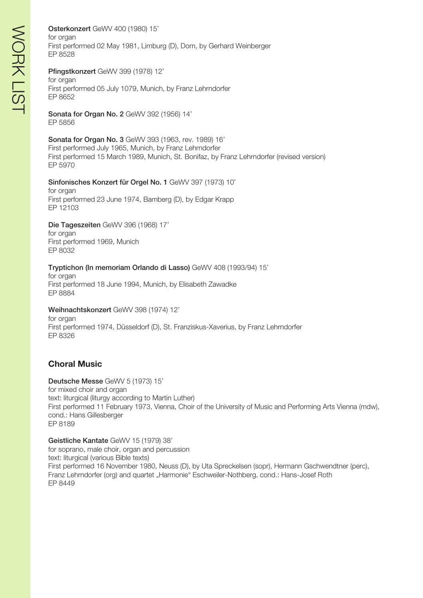Osterkonzert GeWV 400 (1980) 15' for organ First performed 02 May 1981, Limburg (D), Dom, by Gerhard Weinberger EP 8528

#### Pfingstkonzert GeWV 399 (1978) 12'

for organ First performed 05 July 1079, Munich, by Franz Lehrndorfer EP 8652

Sonata for Organ No. 2 GeWV 392 (1956) 14' EP 5856

#### Sonata for Organ No. 3 GeWV 393 (1963, rev. 1989) 16'

First performed July 1965, Munich, by Franz Lehrndorfer First performed 15 March 1989, Munich, St. Bonifaz, by Franz Lehrndorfer (revised version) EP 5970

#### Sinfonisches Konzert für Orgel No. 1 GeWV 397 (1973) 10'

for organ First performed 23 June 1974, Bamberg (D), by Edgar Krapp EP 12103

#### Die Tageszeiten GeWV 396 (1968) 17'

for organ First performed 1969, Munich EP 8032

#### Tryptichon (In memoriam Orlando di Lasso) GeWV 408 (1993/94) 15'

for organ First performed 18 June 1994, Munich, by Elisabeth Zawadke EP 8884

#### Weihnachtskonzert GeWV 398 (1974) 12'

for organ First performed 1974, Düsseldorf (D), St. Franziskus-Xaverius, by Franz Lehrndorfer EP 8326

# **Choral Music**

Deutsche Messe GeWV 5 (1973) 15' for mixed choir and organ text: liturgical (liturgy according to Martin Luther) First performed 11 February 1973, Vienna, Choir of the University of Music and Performing Arts Vienna (mdw), cond.: Hans Gillesberger EP 8189

Geistliche Kantate GeWV 15 (1979) 38' for soprano, male choir, organ and percussion text: liturgical (various Bible texts) First performed 16 November 1980, Neuss (D), by Uta Spreckelsen (sopr), Hermann Gschwendtner (perc), Franz Lehrndorfer (org) and quartet "Harmonie" Eschweiler-Nothberg, cond.: Hans-Josef Roth EP 8449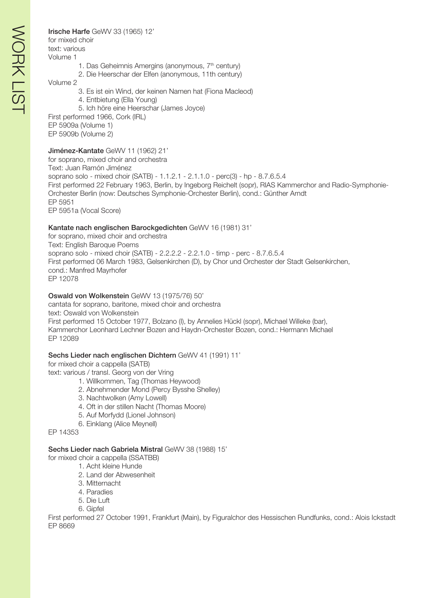Irische Harfe GeWV 33 (1965) 12' for mixed choir text: various Volume 1

- 1. Das Geheimnis Amergins (anonymous, 7<sup>th</sup> century)
- 2. Die Heerschar der Elfen (anonymous, 11th century)

Volume 2

- 3. Es ist ein Wind, der keinen Namen hat (Fiona Macleod)
- 4. Entbietung (Ella Young)
- 5. Ich höre eine Heerschar (James Joyce)

First performed 1966, Cork (IRL) EP 5909a (Volume 1)

EP 5909b (Volume 2)

#### Jiménez-Kantate GeWV 11 (1962) 21'

for soprano, mixed choir and orchestra Text: Juan Ramón Jiménez soprano solo - mixed choir (SATB) - 1.1.2.1 - 2.1.1.0 - perc(3) - hp - 8.7.6.5.4 First performed 22 February 1963, Berlin, by Ingeborg Reichelt (sopr), RIAS Kammerchor and Radio-Symphonie-Orchester Berlin (now: Deutsches Symphonie-Orchester Berlin), cond.: Günther Arndt EP 5951 EP 5951a (Vocal Score)

#### Kantate nach englischen Barockgedichten GeWV 16 (1981) 31'

for soprano, mixed choir and orchestra Text: English Baroque Poems soprano solo - mixed choir (SATB) - 2.2.2.2 - 2.2.1.0 - timp - perc - 8.7.6.5.4 First performed 06 March 1983, Gelsenkirchen (D), by Chor und Orchester der Stadt Gelsenkirchen, cond.: Manfred Mayrhofer EP 12078

#### Oswald von Wolkenstein GeWV 13 (1975/76) 50'

cantata for soprano, baritone, mixed choir and orchestra text: Oswald von Wolkenstein First performed 15 October 1977, Bolzano (I), by Annelies Hückl (sopr), Michael Willeke (bar), Kammerchor Leonhard Lechner Bozen and Haydn-Orchester Bozen, cond.: Hermann Michael EP 12089

#### Sechs Lieder nach englischen Dichtern GeWV 41 (1991) 11'

for mixed choir a cappella (SATB) text: various / transl. Georg von der Vring

- 1. Willkommen, Tag (Thomas Heywood)
- 2. Abnehmender Mond (Percy Bysshe Shelley)
- 3. Nachtwolken (Amy Lowell)
- 4. Oft in der stillen Nacht (Thomas Moore)
- 5. Auf Morfydd (Lionel Johnson)
- 6. Einklang (Alice Meynell)

EP 14353

#### Sechs Lieder nach Gabriela Mistral GeWV 38 (1988) 15'

- for mixed choir a cappella (SSATBB)
	- 1. Acht kleine Hunde
	- 2. Land der Abwesenheit
	- 3. Mitternacht
	- 4. Paradies
	- 5. Die Luft
	- 6. Gipfel

First performed 27 October 1991, Frankfurt (Main), by Figuralchor des Hessischen Rundfunks, cond.: Alois Ickstadt EP 8669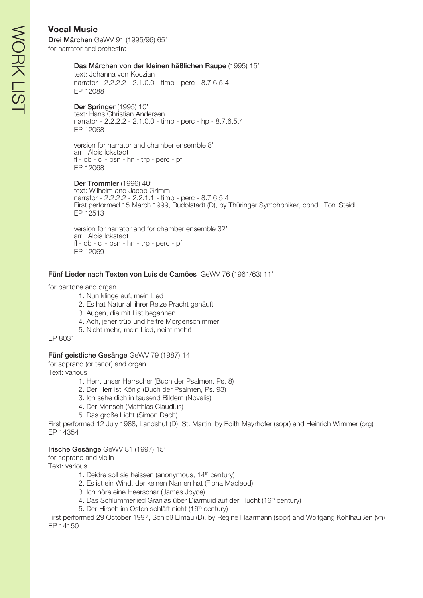# **Vocal Music**

Drei Märchen GeWV 91 (1995/96) 65' for narrator and orchestra

#### Das Märchen von der kleinen häßlichen Raupe (1995) 15'

text: Johanna von Koczian narrator - 2.2.2.2 - 2.1.0.0 - timp - perc - 8.7.6.5.4 EP 12088

Der Springer (1995) 10' text: Hans Christian Andersen narrator - 2.2.2.2 - 2.1.0.0 - timp - perc - hp - 8.7.6.5.4 EP 12068

version for narrator and chamber ensemble 8' arr.: Alois Ickstadt fl - ob - cl - bsn - hn - trp - perc - pf EP 12068

Der Trommler (1996) 40' text: Wilhelm and Jacob Grimm narrator - 2.2.2.2 - 2.2.1.1 - timp - perc - 8.7.6.5.4 First performed 15 March 1999, Rudolstadt (D), by Thüringer Symphoniker, cond.: Toni Steidl EP 12513

version for narrator and for chamber ensemble 32' arr.: Alois Ickstadt fl - ob - cl - bsn - hn - trp - perc - pf EP 12069

#### Fünf Lieder nach Texten von Luis de Camões GeWV 76 (1961/63) 11'

for baritone and organ

- 1. Nun klinge auf, mein Lied
- 2. Es hat Natur all ihrer Reize Pracht gehäuft
- 3. Augen, die mit List begannen
- 4. Ach, jener trüb und heitre Morgenschimmer
- 5. Nicht mehr, mein Lied, nciht mehr!

EP 8031

# Fünf geistliche Gesänge GeWV 79 (1987) 14'

for soprano (or tenor) and organ Text: various

- 1. Herr, unser Herrscher (Buch der Psalmen, Ps. 8)
- 2. Der Herr ist König (Buch der Psalmen, Ps. 93)
- 3. Ich sehe dich in tausend Bildern (Novalis)
- 4. Der Mensch (Matthias Claudius)
- 5. Das große Licht (Simon Dach)

First performed 12 July 1988, Landshut (D), St. Martin, by Edith Mayrhofer (sopr) and Heinrich Wimmer (org) EP 14354

# Irische Gesänge GeWV 81 (1997) 15'

for soprano and violin

Text: various

- 1. Deidre soll sie heissen (anonymous, 14<sup>th</sup> century)
- 2. Es ist ein Wind, der keinen Namen hat (Fiona Macleod)
- 3. Ich höre eine Heerschar (James Joyce)
- 4. Das Schlummerlied Granias über Diarmuid auf der Flucht (16<sup>th</sup> century)
- 5. Der Hirsch im Osten schläft nicht (16<sup>th</sup> century)

First performed 29 October 1997, Schloß Elmau (D), by Regine Haarmann (sopr) and Wolfgang Kohlhaußen (vn) EP 14150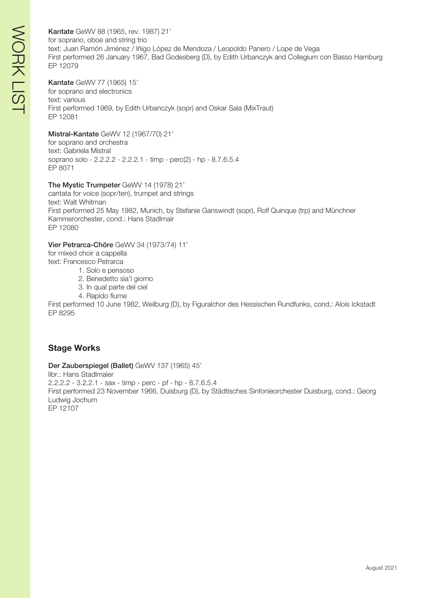Kantate GeWV 88 (1965, rev. 1987) 21' for soprano, oboe and string trio text: Juan Ramón Jiménez / Iñigo López de Mendoza / Leopoldo Panero / Lope de Vega First performed 26 January 1967, Bad Godesberg (D), by Edith Urbanczyk and Collegium con Basso Hamburg EP 12079

#### Kantate GeWV 77 (1965) 15'

for soprano and electronics text: various First performed 1969, by Edith Urbanczyk (sopr) and Oskar Sala (MixTraut) EP 12081

#### Mistral-Kantate GeWV 12 (1967/70) 21'

for soprano and orchestra text: Gabriela Mistral soprano solo - 2.2.2.2 - 2.2.2.1 - timp - perc(2) - hp - 8.7.6.5.4 EP 8071

#### The Mystic Trumpeter GeWV 14 (1978) 21'

cantata for voice (sopr/ten), trumpet and strings text: Walt Whitman First performed 25 May 1982, Munich, by Stefanie Ganswindt (sopr), Rolf Quinque (trp) and Münchner Kammerorchester, cond.: Hans Stadlmair EP 12080

#### Vier Petrarca-Chöre GeWV 34 (1973/74) 11'

for mixed choir a cappella text: Francesco Petrarca

- 1. Solo e pensoso
	- 2. Benedetto sia'l giorno
	- 3. In qual parte del ciel
	- 4. Rapido fiume

First performed 10 June 1982, Weilburg (D), by Figuralchor des Hessischen Rundfunks, cond.: Alois Ickstadt EP 8295

# **Stage Works**

Der Zauberspiegel (Ballet) GeWV 137 (1965) 45'

libr.: Hans Stadlmaier 2.2.2.2 - 3.2.2.1 - sax - timp - perc - pf - hp - 8.7.6.5.4 First performed 23 November 1966, Duisburg (D), by Städtisches Sinfonieorchester Duisburg, cond.: Georg Ludwig Jochum EP 12107